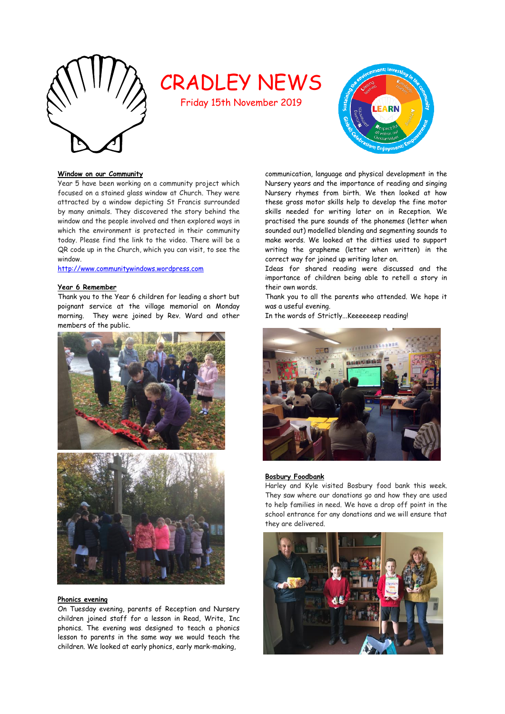

# CRADLEY NEWS

Friday 15th November 2019



## **Window on our Community**

Year 5 have been working on a community project which focused on a stained glass window at Church. They were attracted by a window depicting St Francis surrounded by many animals. They discovered the story behind the window and the people involved and then explored ways in which the environment is protected in their community today. Please find the link to the video. There will be a QR code up in the Church, which you can visit, to see the window.

[http://www.communitywindows.wordpress.com](http://www.communitywindows.wordpress.com/)

## **Year 6 Remember**

Thank you to the Year 6 children for leading a short but poignant service at the village memorial on Monday morning. They were joined by Rev. Ward and other members of the public.





### **Phonics evening**

On Tuesday evening, parents of Reception and Nursery children joined staff for a lesson in Read, Write, Inc phonics. The evening was designed to teach a phonics lesson to parents in the same way we would teach the children. We looked at early phonics, early mark-making,

communication, language and physical development in the Nursery years and the importance of reading and singing Nursery rhymes from birth. We then looked at how these gross motor skills help to develop the fine motor skills needed for writing later on in Reception. We practised the pure sounds of the phonemes (letter when sounded out) modelled blending and segmenting sounds to make words. We looked at the ditties used to support writing the grapheme (letter when written) in the correct way for joined up writing later on.

Ideas for shared reading were discussed and the importance of children being able to retell a story in their own words.

Thank you to all the parents who attended. We hope it was a useful evening.

In the words of Strictly...Keeeeeeep reading!



# **Bosbury Foodbank**

Harley and Kyle visited Bosbury food bank this week. They saw where our donations go and how they are used to help families in need. We have a drop off point in the school entrance for any donations and we will ensure that they are delivered.

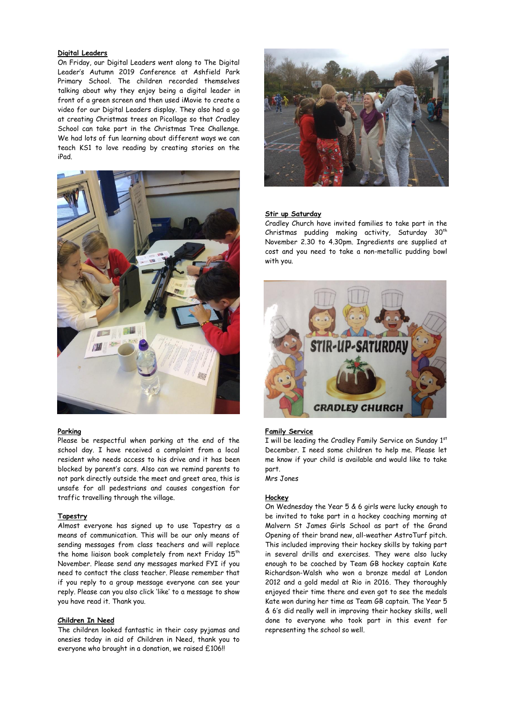# **Digital Leaders**

On Friday, our Digital Leaders went along to The Digital Leader's Autumn 2019 Conference at Ashfield Park Primary School. The children recorded themselves talking about why they enjoy being a digital leader in front of a green screen and then used iMovie to create a video for our Digital Leaders display. They also had a go at creating Christmas trees on Picollage so that Cradley School can take part in the Christmas Tree Challenge. We had lots of fun learning about different ways we can teach KS1 to love reading by creating stories on the iPad.



# **Parking**

Please be respectful when parking at the end of the school day. I have received a complaint from a local resident who needs access to his drive and it has been blocked by parent's cars. Also can we remind parents to not park directly outside the meet and greet area, this is unsafe for all pedestrians and causes congestion for traffic travelling through the village.

## **Tapestry**

Almost everyone has signed up to use Tapestry as a means of communication. This will be our only means of sending messages from class teachers and will replace the home liaison book completely from next Friday  $15<sup>th</sup>$ November. Please send any messages marked FYI if you need to contact the class teacher. Please remember that if you reply to a group message everyone can see your reply. Please can you also click 'like' to a message to show you have read it. Thank you.

## **Children In Need**

The children looked fantastic in their cosy pyjamas and onesies today in aid of Children in Need, thank you to everyone who brought in a donation, we raised £106!!



## **Stir up Saturday**

Cradley Church have invited families to take part in the Christmas pudding making activity, Saturday  $30<sup>th</sup>$ November 2.30 to 4.30pm. Ingredients are supplied at cost and you need to take a non-metallic pudding bowl with you.



## **Family Service**

I will be leading the Cradley Family Service on Sunday 1st December. I need some children to help me. Please let me know if your child is available and would like to take part.

Mrs Jones

# **Hockey**

On Wednesday the Year 5 & 6 girls were lucky enough to be invited to take part in a hockey coaching morning at Malvern St James Girls School as part of the Grand Opening of their brand new, all-weather AstroTurf pitch. This included improving their hockey skills by taking part in several drills and exercises. They were also lucky enough to be coached by Team GB hockey captain Kate Richardson-Walsh who won a bronze medal at London 2012 and a gold medal at Rio in 2016. They thoroughly enjoyed their time there and even got to see the medals Kate won during her time as Team GB captain. The Year 5 & 6's did really well in improving their hockey skills, well done to everyone who took part in this event for representing the school so well.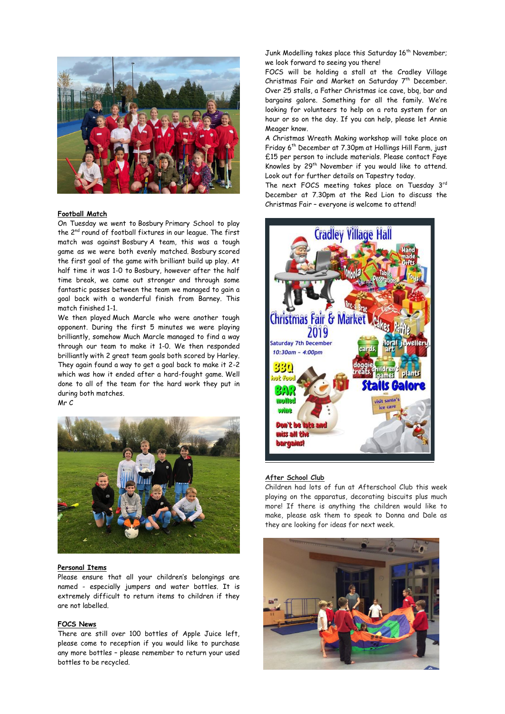

## **Football Match**

On Tuesday we went to Bosbury Primary School to play the 2<sup>nd</sup> round of football fixtures in our league. The first match was against Bosbury A team, this was a tough game as we were both evenly matched. Bosbury scored the first goal of the game with brilliant build up play. At half time it was 1-0 to Bosbury, however after the half time break, we came out stronger and through some fantastic passes between the team we managed to gain a goal back with a wonderful finish from Barney. This match finished 1-1.

We then played Much Marcle who were another tough opponent. During the first 5 minutes we were playing brilliantly, somehow Much Marcle managed to find a way through our team to make it 1-0. We then responded brilliantly with 2 great team goals both scored by Harley. They again found a way to get a goal back to make it 2-2 which was how it ended after a hard-fought game. Well done to all of the team for the hard work they put in during both matches. Mr C



## **Personal Items**

Please ensure that all your children's belongings are named - especially jumpers and water bottles. It is extremely difficult to return items to children if they are not labelled.

# **FOCS News**

There are still over 100 bottles of Apple Juice left, please come to reception if you would like to purchase any more bottles – please remember to return your used bottles to be recycled.

Junk Modelling takes place this Saturday 16<sup>th</sup> November; we look forward to seeing you there!

FOCS will be holding a stall at the Cradley Village Christmas Fair and Market on Saturday 7<sup>th</sup> December. Over 25 stalls, a Father Christmas ice cave, bbq, bar and bargains galore. Something for all the family. We're looking for volunteers to help on a rota system for an hour or so on the day. If you can help, please let Annie Meager know.

A Christmas Wreath Making workshop will take place on Friday 6th December at 7.30pm at Hollings Hill Farm, just £15 per person to include materials. Please contact Faye Knowles by 29<sup>th</sup> November if you would like to attend. Look out for further details on Tapestry today.

The next FOCS meeting takes place on Tuesday 3rd December at 7.30pm at the Red Lion to discuss the Christmas Fair – everyone is welcome to attend!



#### **After School Club**

Children had lots of fun at Afterschool Club this week playing on the apparatus, decorating biscuits plus much more! If there is anything the children would like to make, please ask them to speak to Donna and Dale as they are looking for ideas for next week.

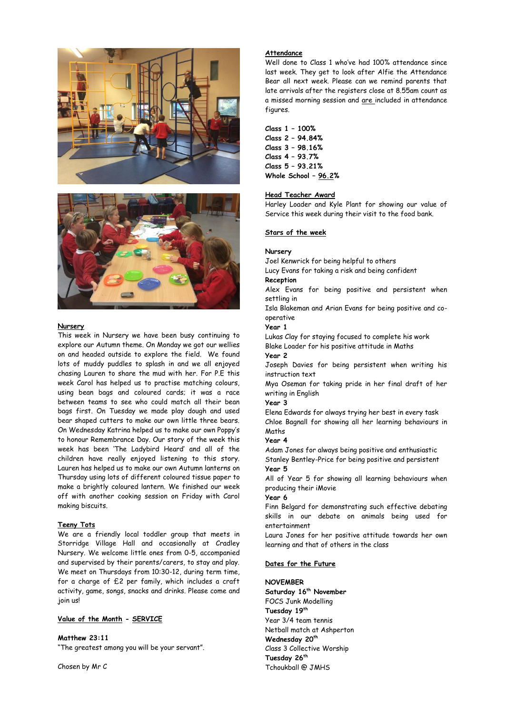



#### **Nursery**

This week in Nursery we have been busy continuing to explore our Autumn theme. On Monday we got our wellies on and headed outside to explore the field. We found lots of muddy puddles to splash in and we all enjoyed chasing Lauren to share the mud with her. For P.E this week Carol has helped us to practise matching colours, using bean bags and coloured cards; it was a race between teams to see who could match all their bean bags first. On Tuesday we made play dough and used bear shaped cutters to make our own little three bears. On Wednesday Katrina helped us to make our own Poppy's to honour Remembrance Day. Our story of the week this week has been 'The Ladybird Heard' and all of the children have really enjoyed listening to this story. Lauren has helped us to make our own Autumn lanterns on Thursday using lots of different coloured tissue paper to make a brightly coloured lantern. We finished our week off with another cooking session on Friday with Carol making biscuits.

# **Teeny Tots**

We are a friendly local toddler group that meets in Storridge Village Hall and occasionally at Cradley Nursery. We welcome little ones from 0-5, accompanied and supervised by their parents/carers, to stay and play. We meet on Thursdays from 10:30-12, during term time, for a charge of £2 per family, which includes a craft activity, game, songs, snacks and drinks. Please come and join us!

## **Value of the Month - SERVICE**

**Matthew 23:11** "The greatest among you will be your servant".

Chosen by Mr C

## **Attendance**

Well done to Class 1 who've had 100% attendance since last week. They get to look after Alfie the Attendance Bear all next week. Please can we remind parents that late arrivals after the registers close at 8.55am count as a missed morning session and are included in attendance figures.

#### **Class 1 – 100%**

**Class 2 – 94.84% Class 3 – 98.16% Class 4 – 93.7% Class 5 – 93.21% Whole School – 96.2%**

#### **Head Teacher Award**

Harley Loader and Kyle Plant for showing our value of Service this week during their visit to the food bank.

# **Stars of the week**

#### **Nursery**

Joel Kenwrick for being helpful to others

Lucy Evans for taking a risk and being confident **Reception**

Alex Evans for being positive and persistent when settling in

Isla Blakeman and Arian Evans for being positive and cooperative

**Year 1** 

Lukas Clay for staying focused to complete his work Blake Loader for his positive attitude in Maths

**Year 2**

Joseph Davies for being persistent when writing his instruction text

Mya Oseman for taking pride in her final draft of her writing in English

**Year 3**

Elena Edwards for always trying her best in every task Chloe Bagnall for showing all her learning behaviours in Maths

# **Year 4**

Adam Jones for always being positive and enthusiastic Stanley Bentley-Price for being positive and persistent **Year 5**

All of Year 5 for showing all learning behaviours when producing their iMovie

## **Year 6**

Finn Belgard for demonstrating such effective debating skills in our debate on animals being used for entertainment

Laura Jones for her positive attitude towards her own learning and that of others in the class

# **Dates for the Future**

# **NOVEMBER**

**Saturday 16th November** FOCS Junk Modelling **Tuesday 19th** Year 3/4 team tennis Netball match at Ashperton **Wednesday 20th** Class 3 Collective Worship **Tuesday 26th** Tchoukball @ JMHS